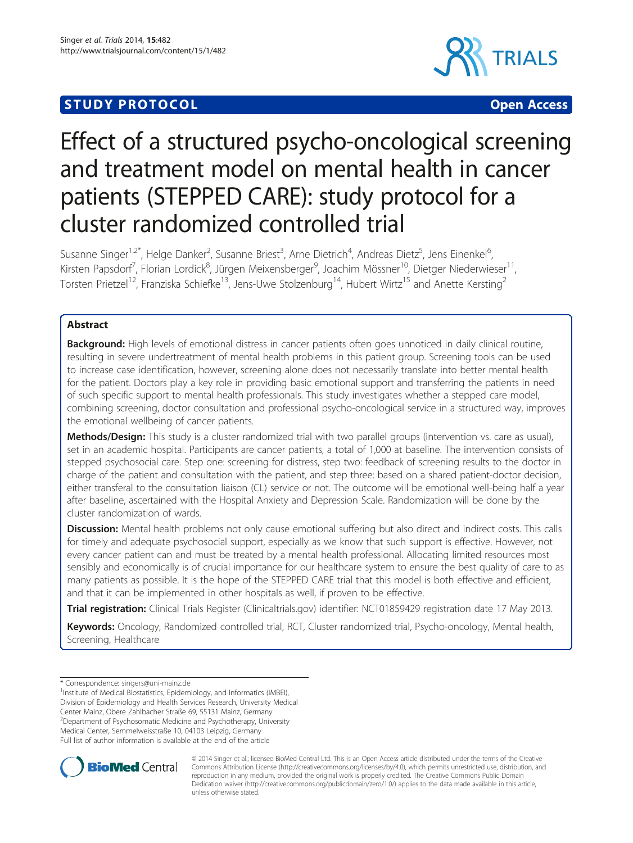# **STUDY PROTOCOL** CONTROL CONTROL CONTROL CONTROL CONTROL CONTROL CONTROL CONTROL CONTROL CONTROL CONTROL CONTROL CONTROL CONTROL CONTROL CONTROL CONTROL CONTROL CONTROL CONTROL CONTROL CONTROL CONTROL CONTROL CONTROL CONTR



# Effect of a structured psycho-oncological screening and treatment model on mental health in cancer patients (STEPPED CARE): study protocol for a cluster randomized controlled trial

Susanne Singer<sup>1,2\*</sup>, Helge Danker<sup>2</sup>, Susanne Briest<sup>3</sup>, Arne Dietrich<sup>4</sup>, Andreas Dietz<sup>5</sup>, Jens Einenkel<sup>6</sup> , Kirsten Papsdorf<sup>7</sup>, Florian Lordick<sup>8</sup>, Jürgen Meixensberger<sup>9</sup>, Joachim Mössner<sup>10</sup>, Dietger Niederwieser<sup>11</sup>, Torsten Prietzel<sup>12</sup>, Franziska Schiefke<sup>13</sup>, Jens-Uwe Stolzenburg<sup>14</sup>, Hubert Wirtz<sup>15</sup> and Anette Kersting<sup>2</sup>

# Abstract

Background: High levels of emotional distress in cancer patients often goes unnoticed in daily clinical routine, resulting in severe undertreatment of mental health problems in this patient group. Screening tools can be used to increase case identification, however, screening alone does not necessarily translate into better mental health for the patient. Doctors play a key role in providing basic emotional support and transferring the patients in need of such specific support to mental health professionals. This study investigates whether a stepped care model, combining screening, doctor consultation and professional psycho-oncological service in a structured way, improves the emotional wellbeing of cancer patients.

Methods/Design: This study is a cluster randomized trial with two parallel groups (intervention vs. care as usual), set in an academic hospital. Participants are cancer patients, a total of 1,000 at baseline. The intervention consists of stepped psychosocial care. Step one: screening for distress, step two: feedback of screening results to the doctor in charge of the patient and consultation with the patient, and step three: based on a shared patient-doctor decision, either transferal to the consultation liaison (CL) service or not. The outcome will be emotional well-being half a year after baseline, ascertained with the Hospital Anxiety and Depression Scale. Randomization will be done by the cluster randomization of wards.

Discussion: Mental health problems not only cause emotional suffering but also direct and indirect costs. This calls for timely and adequate psychosocial support, especially as we know that such support is effective. However, not every cancer patient can and must be treated by a mental health professional. Allocating limited resources most sensibly and economically is of crucial importance for our healthcare system to ensure the best quality of care to as many patients as possible. It is the hope of the STEPPED CARE trial that this model is both effective and efficient, and that it can be implemented in other hospitals as well, if proven to be effective.

Trial registration: Clinical Trials Register (Clinicaltrials.gov) identifier: [NCT01859429](http://www.clinicaltrials.gov/ct2/show/NCT01859429?term=NCT01859429&rank=1) registration date 17 May 2013.

Keywords: Oncology, Randomized controlled trial, RCT, Cluster randomized trial, Psycho-oncology, Mental health, Screening, Healthcare

\* Correspondence: [singers@uni-mainz.de](mailto:singers@uni-mainz.de) <sup>1</sup>

<sup>1</sup> Institute of Medical Biostatistics, Epidemiology, and Informatics (IMBEI), Division of Epidemiology and Health Services Research, University Medical Center Mainz, Obere Zahlbacher Straße 69, 55131 Mainz, Germany <sup>2</sup>Department of Psychosomatic Medicine and Psychotherapy, University Medical Center, Semmelweisstraße 10, 04103 Leipzig, Germany Full list of author information is available at the end of the article



© 2014 Singer et al.; licensee BioMed Central Ltd. This is an Open Access article distributed under the terms of the Creative Commons Attribution License [\(http://creativecommons.org/licenses/by/4.0\)](http://creativecommons.org/licenses/by/4.0), which permits unrestricted use, distribution, and reproduction in any medium, provided the original work is properly credited. The Creative Commons Public Domain Dedication waiver [\(http://creativecommons.org/publicdomain/zero/1.0/](http://creativecommons.org/publicdomain/zero/1.0/)) applies to the data made available in this article, unless otherwise stated.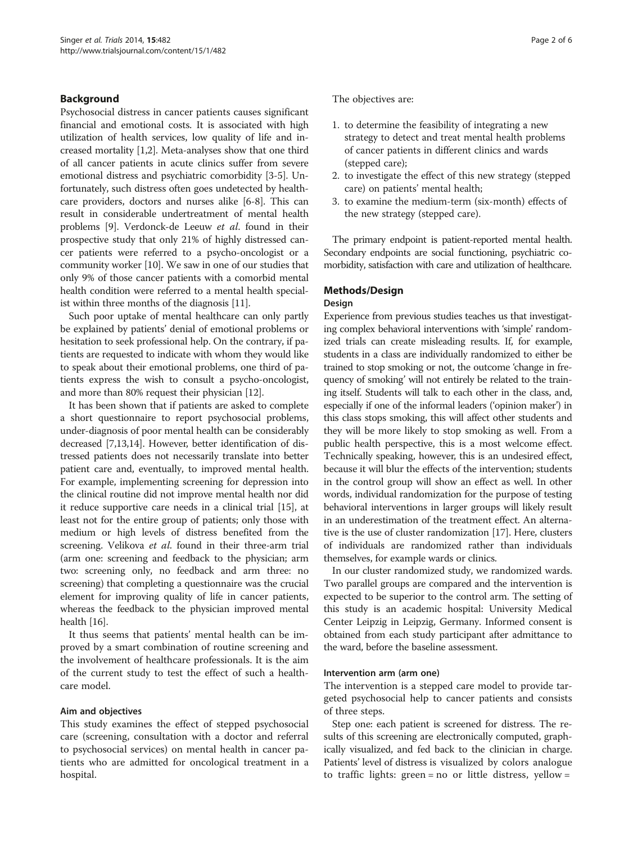# Background

Psychosocial distress in cancer patients causes significant financial and emotional costs. It is associated with high utilization of health services, low quality of life and increased mortality [[1,2](#page-4-0)]. Meta-analyses show that one third of all cancer patients in acute clinics suffer from severe emotional distress and psychiatric comorbidity [[3-5](#page-4-0)]. Unfortunately, such distress often goes undetected by healthcare providers, doctors and nurses alike [[6-8\]](#page-4-0). This can result in considerable undertreatment of mental health problems [[9\]](#page-4-0). Verdonck-de Leeuw et al. found in their prospective study that only 21% of highly distressed cancer patients were referred to a psycho-oncologist or a community worker [[10\]](#page-5-0). We saw in one of our studies that only 9% of those cancer patients with a comorbid mental health condition were referred to a mental health specialist within three months of the diagnosis [\[11\]](#page-5-0).

Such poor uptake of mental healthcare can only partly be explained by patients' denial of emotional problems or hesitation to seek professional help. On the contrary, if patients are requested to indicate with whom they would like to speak about their emotional problems, one third of patients express the wish to consult a psycho-oncologist, and more than 80% request their physician [[12](#page-5-0)].

It has been shown that if patients are asked to complete a short questionnaire to report psychosocial problems, under-diagnosis of poor mental health can be considerably decreased [[7,](#page-4-0)[13,14\]](#page-5-0). However, better identification of distressed patients does not necessarily translate into better patient care and, eventually, to improved mental health. For example, implementing screening for depression into the clinical routine did not improve mental health nor did it reduce supportive care needs in a clinical trial [\[15](#page-5-0)], at least not for the entire group of patients; only those with medium or high levels of distress benefited from the screening. Velikova et al. found in their three-arm trial (arm one: screening and feedback to the physician; arm two: screening only, no feedback and arm three: no screening) that completing a questionnaire was the crucial element for improving quality of life in cancer patients, whereas the feedback to the physician improved mental health [\[16\]](#page-5-0).

It thus seems that patients' mental health can be improved by a smart combination of routine screening and the involvement of healthcare professionals. It is the aim of the current study to test the effect of such a healthcare model.

# Aim and objectives

This study examines the effect of stepped psychosocial care (screening, consultation with a doctor and referral to psychosocial services) on mental health in cancer patients who are admitted for oncological treatment in a hospital.

The objectives are:

- 1. to determine the feasibility of integrating a new strategy to detect and treat mental health problems of cancer patients in different clinics and wards (stepped care);
- 2. to investigate the effect of this new strategy (stepped care) on patients' mental health;
- 3. to examine the medium-term (six-month) effects of the new strategy (stepped care).

The primary endpoint is patient-reported mental health. Secondary endpoints are social functioning, psychiatric comorbidity, satisfaction with care and utilization of healthcare.

# Methods/Design

# Design

Experience from previous studies teaches us that investigating complex behavioral interventions with 'simple' randomized trials can create misleading results. If, for example, students in a class are individually randomized to either be trained to stop smoking or not, the outcome 'change in frequency of smoking' will not entirely be related to the training itself. Students will talk to each other in the class, and, especially if one of the informal leaders ('opinion maker') in this class stops smoking, this will affect other students and they will be more likely to stop smoking as well. From a public health perspective, this is a most welcome effect. Technically speaking, however, this is an undesired effect, because it will blur the effects of the intervention; students in the control group will show an effect as well. In other words, individual randomization for the purpose of testing behavioral interventions in larger groups will likely result in an underestimation of the treatment effect. An alternative is the use of cluster randomization [\[17\]](#page-5-0). Here, clusters of individuals are randomized rather than individuals themselves, for example wards or clinics.

In our cluster randomized study, we randomized wards. Two parallel groups are compared and the intervention is expected to be superior to the control arm. The setting of this study is an academic hospital: University Medical Center Leipzig in Leipzig, Germany. Informed consent is obtained from each study participant after admittance to the ward, before the baseline assessment.

# Intervention arm (arm one)

The intervention is a stepped care model to provide targeted psychosocial help to cancer patients and consists of three steps.

Step one: each patient is screened for distress. The results of this screening are electronically computed, graphically visualized, and fed back to the clinician in charge. Patients' level of distress is visualized by colors analogue to traffic lights: green = no or little distress, yellow =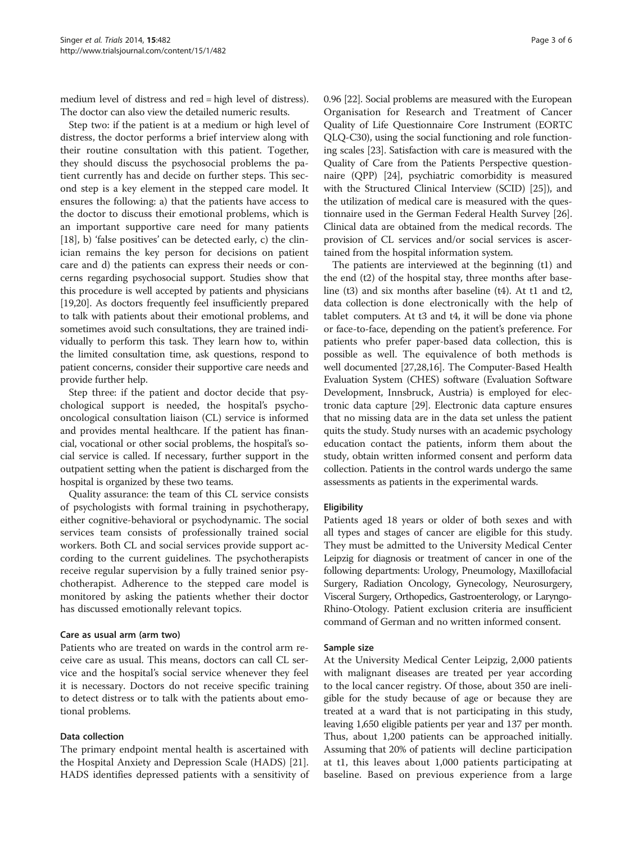medium level of distress and red = high level of distress). The doctor can also view the detailed numeric results.

Step two: if the patient is at a medium or high level of distress, the doctor performs a brief interview along with their routine consultation with this patient. Together, they should discuss the psychosocial problems the patient currently has and decide on further steps. This second step is a key element in the stepped care model. It ensures the following: a) that the patients have access to the doctor to discuss their emotional problems, which is an important supportive care need for many patients [[18\]](#page-5-0), b) 'false positives' can be detected early, c) the clinician remains the key person for decisions on patient care and d) the patients can express their needs or concerns regarding psychosocial support. Studies show that this procedure is well accepted by patients and physicians [[19,20](#page-5-0)]. As doctors frequently feel insufficiently prepared to talk with patients about their emotional problems, and sometimes avoid such consultations, they are trained individually to perform this task. They learn how to, within the limited consultation time, ask questions, respond to patient concerns, consider their supportive care needs and provide further help.

Step three: if the patient and doctor decide that psychological support is needed, the hospital's psychooncological consultation liaison (CL) service is informed and provides mental healthcare. If the patient has financial, vocational or other social problems, the hospital's social service is called. If necessary, further support in the outpatient setting when the patient is discharged from the hospital is organized by these two teams.

Quality assurance: the team of this CL service consists of psychologists with formal training in psychotherapy, either cognitive-behavioral or psychodynamic. The social services team consists of professionally trained social workers. Both CL and social services provide support according to the current guidelines. The psychotherapists receive regular supervision by a fully trained senior psychotherapist. Adherence to the stepped care model is monitored by asking the patients whether their doctor has discussed emotionally relevant topics.

# Care as usual arm (arm two)

Patients who are treated on wards in the control arm receive care as usual. This means, doctors can call CL service and the hospital's social service whenever they feel it is necessary. Doctors do not receive specific training to detect distress or to talk with the patients about emotional problems.

# Data collection

The primary endpoint mental health is ascertained with the Hospital Anxiety and Depression Scale (HADS) [\[21](#page-5-0)]. HADS identifies depressed patients with a sensitivity of 0.96 [[22](#page-5-0)]. Social problems are measured with the European Organisation for Research and Treatment of Cancer Quality of Life Questionnaire Core Instrument (EORTC QLQ-C30), using the social functioning and role functioning scales [[23](#page-5-0)]. Satisfaction with care is measured with the Quality of Care from the Patients Perspective questionnaire (QPP) [\[24\]](#page-5-0), psychiatric comorbidity is measured with the Structured Clinical Interview (SCID) [[25](#page-5-0)]), and the utilization of medical care is measured with the questionnaire used in the German Federal Health Survey [[26](#page-5-0)]. Clinical data are obtained from the medical records. The provision of CL services and/or social services is ascertained from the hospital information system.

The patients are interviewed at the beginning (t1) and the end (t2) of the hospital stay, three months after baseline (t3) and six months after baseline (t4). At t1 and t2, data collection is done electronically with the help of tablet computers. At t3 and t4, it will be done via phone or face-to-face, depending on the patient's preference. For patients who prefer paper-based data collection, this is possible as well. The equivalence of both methods is well documented [\[27,28,16](#page-5-0)]. The Computer-Based Health Evaluation System (CHES) software (Evaluation Software Development, Innsbruck, Austria) is employed for electronic data capture [\[29](#page-5-0)]. Electronic data capture ensures that no missing data are in the data set unless the patient quits the study. Study nurses with an academic psychology education contact the patients, inform them about the study, obtain written informed consent and perform data collection. Patients in the control wards undergo the same assessments as patients in the experimental wards.

# **Eligibility**

Patients aged 18 years or older of both sexes and with all types and stages of cancer are eligible for this study. They must be admitted to the University Medical Center Leipzig for diagnosis or treatment of cancer in one of the following departments: Urology, Pneumology, Maxillofacial Surgery, Radiation Oncology, Gynecology, Neurosurgery, Visceral Surgery, Orthopedics, Gastroenterology, or Laryngo-Rhino-Otology. Patient exclusion criteria are insufficient command of German and no written informed consent.

# Sample size

At the University Medical Center Leipzig, 2,000 patients with malignant diseases are treated per year according to the local cancer registry. Of those, about 350 are ineligible for the study because of age or because they are treated at a ward that is not participating in this study, leaving 1,650 eligible patients per year and 137 per month. Thus, about 1,200 patients can be approached initially. Assuming that 20% of patients will decline participation at t1, this leaves about 1,000 patients participating at baseline. Based on previous experience from a large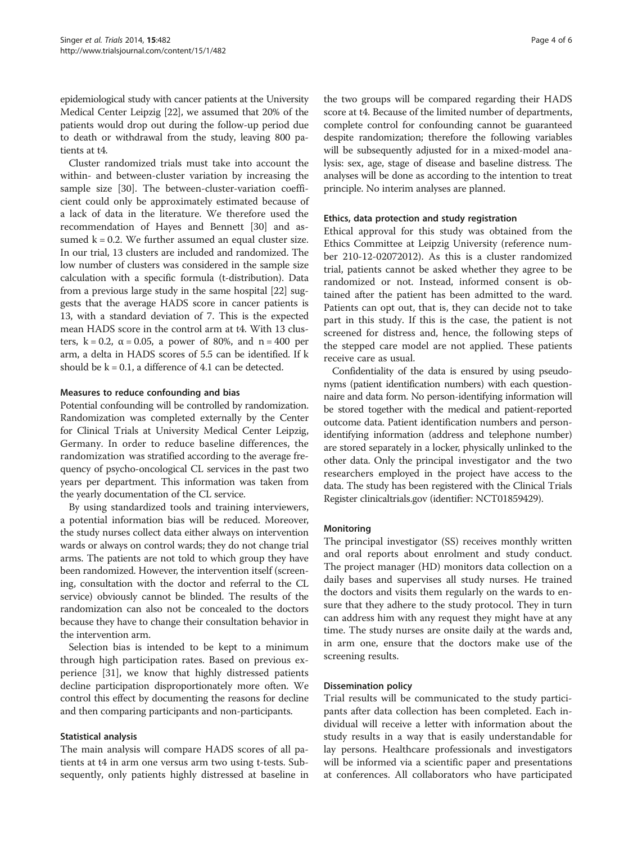epidemiological study with cancer patients at the University Medical Center Leipzig [[22](#page-5-0)], we assumed that 20% of the patients would drop out during the follow-up period due to death or withdrawal from the study, leaving 800 patients at t4.

Cluster randomized trials must take into account the within- and between-cluster variation by increasing the sample size [[30\]](#page-5-0). The between-cluster-variation coefficient could only be approximately estimated because of a lack of data in the literature. We therefore used the recommendation of Hayes and Bennett [[30](#page-5-0)] and assumed  $k = 0.2$ . We further assumed an equal cluster size. In our trial, 13 clusters are included and randomized. The low number of clusters was considered in the sample size calculation with a specific formula (t-distribution). Data from a previous large study in the same hospital [[22](#page-5-0)] suggests that the average HADS score in cancer patients is 13, with a standard deviation of 7. This is the expected mean HADS score in the control arm at t4. With 13 clusters, k = 0.2, α = 0.05, a power of 80%, and n = 400 per arm, a delta in HADS scores of 5.5 can be identified. If k should be  $k = 0.1$ , a difference of 4.1 can be detected.

# Measures to reduce confounding and bias

Potential confounding will be controlled by randomization. Randomization was completed externally by the Center for Clinical Trials at University Medical Center Leipzig, Germany. In order to reduce baseline differences, the randomization was stratified according to the average frequency of psycho-oncological CL services in the past two years per department. This information was taken from the yearly documentation of the CL service.

By using standardized tools and training interviewers, a potential information bias will be reduced. Moreover, the study nurses collect data either always on intervention wards or always on control wards; they do not change trial arms. The patients are not told to which group they have been randomized. However, the intervention itself (screening, consultation with the doctor and referral to the CL service) obviously cannot be blinded. The results of the randomization can also not be concealed to the doctors because they have to change their consultation behavior in the intervention arm.

Selection bias is intended to be kept to a minimum through high participation rates. Based on previous experience [\[31](#page-5-0)], we know that highly distressed patients decline participation disproportionately more often. We control this effect by documenting the reasons for decline and then comparing participants and non-participants.

# Statistical analysis

The main analysis will compare HADS scores of all patients at t4 in arm one versus arm two using t-tests. Subsequently, only patients highly distressed at baseline in

the two groups will be compared regarding their HADS score at t4. Because of the limited number of departments, complete control for confounding cannot be guaranteed despite randomization; therefore the following variables will be subsequently adjusted for in a mixed-model analysis: sex, age, stage of disease and baseline distress. The analyses will be done as according to the intention to treat principle. No interim analyses are planned.

# Ethics, data protection and study registration

Ethical approval for this study was obtained from the Ethics Committee at Leipzig University (reference number 210-12-02072012). As this is a cluster randomized trial, patients cannot be asked whether they agree to be randomized or not. Instead, informed consent is obtained after the patient has been admitted to the ward. Patients can opt out, that is, they can decide not to take part in this study. If this is the case, the patient is not screened for distress and, hence, the following steps of the stepped care model are not applied. These patients receive care as usual.

Confidentiality of the data is ensured by using pseudonyms (patient identification numbers) with each questionnaire and data form. No person-identifying information will be stored together with the medical and patient-reported outcome data. Patient identification numbers and personidentifying information (address and telephone number) are stored separately in a locker, physically unlinked to the other data. Only the principal investigator and the two researchers employed in the project have access to the data. The study has been registered with the Clinical Trials Register clinicaltrials.gov (identifier: NCT01859429).

# **Monitoring**

The principal investigator (SS) receives monthly written and oral reports about enrolment and study conduct. The project manager (HD) monitors data collection on a daily bases and supervises all study nurses. He trained the doctors and visits them regularly on the wards to ensure that they adhere to the study protocol. They in turn can address him with any request they might have at any time. The study nurses are onsite daily at the wards and, in arm one, ensure that the doctors make use of the screening results.

# Dissemination policy

Trial results will be communicated to the study participants after data collection has been completed. Each individual will receive a letter with information about the study results in a way that is easily understandable for lay persons. Healthcare professionals and investigators will be informed via a scientific paper and presentations at conferences. All collaborators who have participated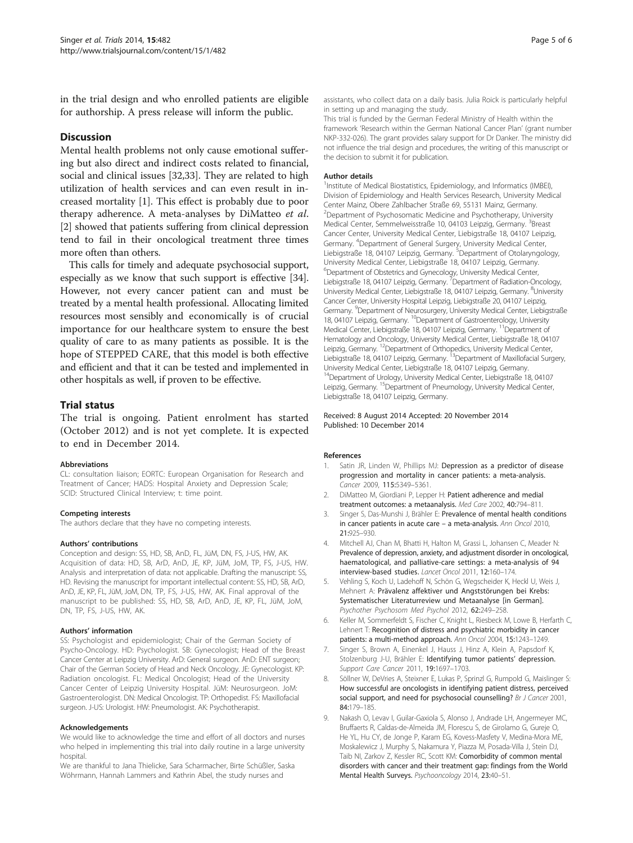<span id="page-4-0"></span>in the trial design and who enrolled patients are eligible for authorship. A press release will inform the public.

# **Discussion**

Mental health problems not only cause emotional suffering but also direct and indirect costs related to financial, social and clinical issues [[32,33\]](#page-5-0). They are related to high utilization of health services and can even result in increased mortality [1]. This effect is probably due to poor therapy adherence. A meta-analyses by DiMatteo et al. [2] showed that patients suffering from clinical depression tend to fail in their oncological treatment three times more often than others.

This calls for timely and adequate psychosocial support, especially as we know that such support is effective [[34](#page-5-0)]. However, not every cancer patient can and must be treated by a mental health professional. Allocating limited resources most sensibly and economically is of crucial importance for our healthcare system to ensure the best quality of care to as many patients as possible. It is the hope of STEPPED CARE, that this model is both effective and efficient and that it can be tested and implemented in other hospitals as well, if proven to be effective.

# Trial status

The trial is ongoing. Patient enrolment has started (October 2012) and is not yet complete. It is expected to end in December 2014.

#### Abbreviations

CL: consultation liaison; EORTC: European Organisation for Research and Treatment of Cancer; HADS: Hospital Anxiety and Depression Scale; SCID: Structured Clinical Interview; t: time point.

#### Competing interests

The authors declare that they have no competing interests.

#### Authors' contributions

Conception and design: SS, HD, SB, AnD, FL, JüM, DN, FS, J-US, HW, AK. Acquisition of data: HD, SB, ArD, AnD, JE, KP, JüM, JoM, TP, FS, J-US, HW. Analysis and interpretation of data: not applicable. Drafting the manuscript: SS, HD. Revising the manuscript for important intellectual content: SS, HD, SB, ArD, AnD, JE, KP, FL, JüM, JoM, DN, TP, FS, J-US, HW, AK. Final approval of the manuscript to be published: SS, HD, SB, ArD, AnD, JE, KP, FL, JüM, JoM, DN, TP, FS, J-US, HW, AK.

#### Authors' information

SS: Psychologist and epidemiologist; Chair of the German Society of Psycho-Oncology. HD: Psychologist. SB: Gynecologist; Head of the Breast Cancer Center at Leipzig University. ArD: General surgeon. AnD: ENT surgeon; Chair of the German Society of Head and Neck Oncology. JE: Gynecologist. KP: Radiation oncologist. FL: Medical Oncologist; Head of the University Cancer Center of Leipzig University Hospital. JüM: Neurosurgeon. JoM: Gastroenterologist. DN: Medical Oncologist. TP: Orthopedist. FS: Maxillofacial surgeon. J-US: Urologist. HW: Pneumologist. AK: Psychotherapist.

#### Acknowledgements

We would like to acknowledge the time and effort of all doctors and nurses who helped in implementing this trial into daily routine in a large university hospital.

We are thankful to Jana Thielicke, Sara Scharmacher, Birte Schüßler, Saska Wöhrmann, Hannah Lammers and Kathrin Abel, the study nurses and

assistants, who collect data on a daily basis. Julia Roick is particularly helpful in setting up and managing the study.

This trial is funded by the German Federal Ministry of Health within the framework 'Research within the German National Cancer Plan' (grant number NKP-332-026). The grant provides salary support for Dr Danker. The ministry did not influence the trial design and procedures, the writing of this manuscript or the decision to submit it for publication.

#### Author details

<sup>1</sup> Institute of Medical Biostatistics, Epidemiology, and Informatics (IMBEI) Division of Epidemiology and Health Services Research, University Medical Center Mainz, Obere Zahlbacher Straße 69, 55131 Mainz, Germany. <sup>2</sup> Department of Psychosomatic Medicine and Psychotherapy, University Medical Center, Semmelweisstraße 10, 04103 Leipzig, Germany. <sup>3</sup>Breast Cancer Center, University Medical Center, Liebigstraße 18, 04107 Leipzig, Germany. <sup>4</sup> Department of General Surgery, University Medical Center, Liebigstraße 18, 04107 Leipzig, Germany. <sup>5</sup>Department of Otolaryngology, University Medical Center, Liebigstraße 18, 04107 Leipzig, Germany. 6 Department of Obstetrics and Gynecology, University Medical Center, Liebigstraße 18, 04107 Leipzig, Germany. 7Department of Radiation-Oncology, University Medical Center, Liebigstraße 18, 04107 Leipzig, Germany. <sup>8</sup>University Cancer Center, University Hospital Leipzig, Liebigstraße 20, 04107 Leipzig, Germany. <sup>9</sup>Department of Neurosurgery, University Medical Center, Liebigstraße 18, 04107 Leipzig, Germany. <sup>10</sup>Department of Gastroenterology, University Medical Center, Liebigstraße 18, 04107 Leipzig, Germany. <sup>11</sup>Department of Hematology and Oncology, University Medical Center, Liebigstraße 18, 04107 Leipzig, Germany. <sup>12</sup>Department of Orthopedics, University Medical Center, Liebigstraße 18, 04107 Leipzig, Germany.<sup>13</sup>Department of Maxillofacial Surgery, University Medical Center, Liebigstraße 18, 04107 Leipzig, Germany. <sup>14</sup>Department of Urology, University Medical Center, Liebigstraße 18, 04107 Leipzig, Germany. <sup>15</sup>Department of Pneumology, University Medical Center, Liebigstraße 18, 04107 Leipzig, Germany.

#### Received: 8 August 2014 Accepted: 20 November 2014 Published: 10 December 2014

#### References

- Satin JR, Linden W, Phillips MJ: Depression as a predictor of disease progression and mortality in cancer patients: a meta-analysis. Cancer 2009, 115:5349–5361.
- 2. DiMatteo M, Giordiani P, Lepper H: Patient adherence and medial treatment outcomes: a metaanalysis. Med Care 2002, 40:794–811.
- 3. Singer S, Das-Munshi J, Brähler E: Prevalence of mental health conditions in cancer patients in acute care – a meta-analysis. Ann Oncol 2010, 21:925–930.
- 4. Mitchell AJ, Chan M, Bhatti H, Halton M, Grassi L, Johansen C, Meader N: Prevalence of depression, anxiety, and adjustment disorder in oncological, haematological, and palliative-care settings: a meta-analysis of 94 interview-based studies. Lancet Oncol 2011, 12:160–174.
- Vehling S, Koch U, Ladehoff N, Schön G, Wegscheider K, Heckl U, Weis J, Mehnert A: Prävalenz affektiver und Angststörungen bei Krebs: Systematischer Literaturreview und Metaanalyse [in German]. Psychother Psychosom Med Psychol 2012, 62:249–258.
- 6. Keller M, Sommerfeldt S, Fischer C, Knight L, Riesbeck M, Lowe B, Herfarth C, Lehnert T: Recognition of distress and psychiatric morbidity in cancer patients: a multi-method approach. Ann Oncol 2004, 15:1243–1249.
- 7. Singer S, Brown A, Einenkel J, Hauss J, Hinz A, Klein A, Papsdorf K, Stolzenburg J-U, Brähler E: Identifying tumor patients' depression. Support Care Cancer 2011, 19:1697-1703.
- Söllner W, DeVries A, Steixner E, Lukas P, Sprinzl G, Rumpold G, Maislinger S: How successful are oncologists in identifying patient distress, perceived social support, and need for psychosocial counselling? Br J Cancer 2001, 84:179–185.
- 9. Nakash O, Levav I, Guilar-Gaxiola S, Alonso J, Andrade LH, Angermeyer MC, Bruffaerts R, Caldas-de-Almeida JM, Florescu S, de Girolamo G, Gureje O, He YL, Hu CY, de Jonge P, Karam EG, Kovess-Masfety V, Medina-Mora ME, Moskalewicz J, Murphy S, Nakamura Y, Piazza M, Posada-Villa J, Stein DJ, Taib NI, Zarkov Z, Kessler RC, Scott KM: Comorbidity of common mental disorders with cancer and their treatment gap: findings from the World Mental Health Surveys. Psychooncology 2014, 23:40–51.